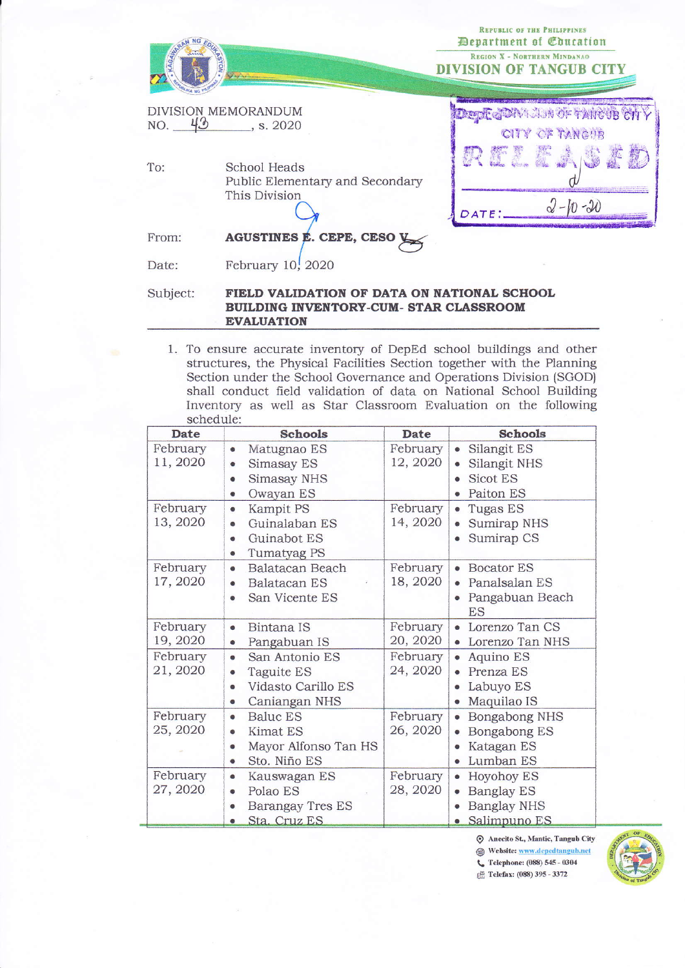| KAGAWA   |                                                                                       | <b>REPUBLIC OF THE PHILIPPINES</b><br><b>Department of Coucation</b><br><b>REGION X - NORTHERN MINDANAO</b><br><b>DIVISION OF TANGUB CITY</b> |
|----------|---------------------------------------------------------------------------------------|-----------------------------------------------------------------------------------------------------------------------------------------------|
|          | DIVISION MEMORANDUM<br>NO. $43$ , s. 2020                                             | 相撲事 の<br>CITY OF TANGUB                                                                                                                       |
| To:      | School Heads<br>Public Elementary and Secondary<br>This Division                      | RELEA<br>DATE                                                                                                                                 |
| From:    | AGUSTINES E. CEPE, CESO V                                                             |                                                                                                                                               |
| Date:    | February $10$ , $2020$                                                                |                                                                                                                                               |
| Subject: | FIELD VALIDATION OF DATA ON NATIONAL SCHOOL<br>RHILDING INVENTORY-CHM- STAR CLASSROOM |                                                                                                                                               |

1. To ensure accurate inventory of DepEd school buildings and other structures, the Physical Facilities Section together with the Planning Section under the School Governance and Operations Division (SGOD) shall conduct field validation of data on National School Building Inventory as well as Star Classroom Evaluation on the following schedule:

**EVALUATION** 

| <b>Date</b>          | <b>Schools</b>                                                                                   | <b>Date</b>          | Schools                                                                              |
|----------------------|--------------------------------------------------------------------------------------------------|----------------------|--------------------------------------------------------------------------------------|
| February<br>11, 2020 | Matugnao ES<br>۰<br>Simasay ES<br>۰<br><b>Simasay NHS</b><br>Ø.<br>Owayan ES<br>$\bullet$        | February<br>12, 2020 | Silangit ES<br>Silangit NHS<br>Sicot ES<br>Paiton ES<br>6                            |
| February<br>13, 2020 | Kampit PS<br>٠<br>Guinalaban ES<br>Guinabot ES<br>$\bullet$<br>Tumatyag PS<br>◉                  | February<br>14, 2020 | Tugas ES<br>$\bullet$<br>Sumirap NHS<br>Sumirap CS                                   |
| February<br>17, 2020 | Balatacan Beach<br>$\bullet$<br>Balatacan ES<br>¢<br>San Vicente ES<br>ø                         | February<br>18, 2020 | <b>Bocator ES</b><br>$\bullet$<br>Panalsalan ES<br>Pangabuan Beach<br><b>ES</b>      |
| February<br>19, 2020 | Bintana IS<br>G<br>Pangabuan IS<br>$\bullet$                                                     | February<br>20, 2020 | • Lorenzo Tan CS<br>Lorenzo Tan NHS                                                  |
| February<br>21, 2020 | San Antonio ES<br>$\bullet$<br>Taguite ES<br>●<br>Vidasto Carillo ES<br>¢<br>Caniangan NHS<br>●  | February<br>24, 2020 | Aquino ES<br>$\bullet$<br>Prenza ES<br>Labuyo ES<br>Maquilao IS                      |
| February<br>25, 2020 | <b>Baluc ES</b><br>۰<br><b>Kimat ES</b><br>0<br>Mayor Alfonso Tan HS<br>Sto. Niño ES<br><b>e</b> | February<br>26, 2020 | Bongabong NHS<br>Bongabong ES<br>Katagan ES<br>Lumban ES                             |
| February<br>27, 2020 | Kauswagan ES<br>۰<br>Polao ES<br>٥<br>Barangay Tres ES<br>Ö<br>Sta. Cruz ES<br>۰                 | February<br>28, 2020 | Hoyohoy ES<br>$\bullet$<br><b>Banglay ES</b><br><b>Banglay NHS</b><br>· Salimpuno ES |

Anecito St., Mantic, Tangub City Website: www.depedtangub.net C Telephone: (088) 545 - 0304



<sup>3</sup> Telefax: (088) 395 - 3372